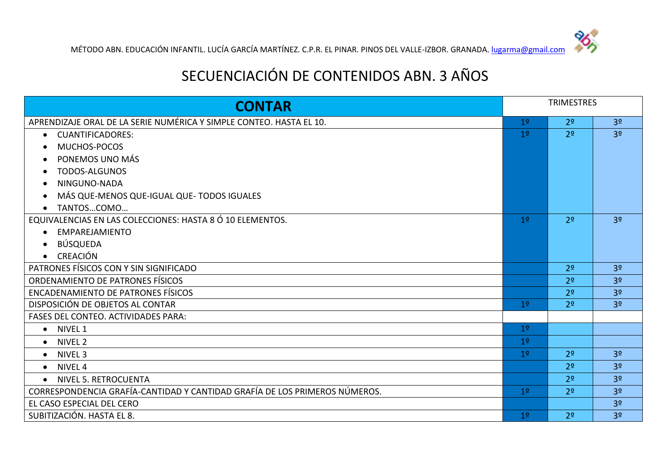## SECUENCIACIÓN DE CONTENIDOS ABN. 3 AÑOS

| <b>CONTAR</b>                                                              |                | <b>TRIMESTRES</b> |                |
|----------------------------------------------------------------------------|----------------|-------------------|----------------|
| APRENDIZAJE ORAL DE LA SERIE NUMÉRICA Y SIMPLE CONTEO. HASTA EL 10.        | 1 <sup>o</sup> | 2 <sup>o</sup>    | 3 <sup>o</sup> |
| <b>CUANTIFICADORES:</b><br>$\bullet$                                       | 1 <sup>o</sup> | 2 <sup>o</sup>    | 3 <sup>o</sup> |
| MUCHOS-POCOS                                                               |                |                   |                |
| PONEMOS UNO MÁS                                                            |                |                   |                |
| <b>TODOS-ALGUNOS</b>                                                       |                |                   |                |
| NINGUNO-NADA                                                               |                |                   |                |
| MÁS QUE-MENOS QUE-IGUAL QUE- TODOS IGUALES                                 |                |                   |                |
| TANTOSCOMO                                                                 |                |                   |                |
| EQUIVALENCIAS EN LAS COLECCIONES: HASTA 8 Ó 10 ELEMENTOS.                  | 1 <sup>o</sup> | 2 <sup>0</sup>    | 3 <sup>o</sup> |
| EMPAREJAMIENTO                                                             |                |                   |                |
| <b>BÚSQUEDA</b>                                                            |                |                   |                |
| <b>CREACIÓN</b>                                                            |                |                   |                |
| PATRONES FÍSICOS CON Y SIN SIGNIFICADO                                     |                | 2 <sup>o</sup>    | 3 <sup>o</sup> |
| ORDENAMIENTO DE PATRONES FÍSICOS                                           |                | 2 <sup>o</sup>    | 3 <sup>o</sup> |
| <b>ENCADENAMIENTO DE PATRONES FÍSICOS</b>                                  |                | 2 <sup>0</sup>    | 3 <sup>o</sup> |
| DISPOSICIÓN DE OBJETOS AL CONTAR                                           | 1 <sup>9</sup> | 2 <sup>0</sup>    | 3 <sup>o</sup> |
| FASES DEL CONTEO. ACTIVIDADES PARA:                                        |                |                   |                |
| • NIVEL 1                                                                  | 1 <sup>°</sup> |                   |                |
| NIVEL <sub>2</sub><br>$\bullet$                                            | 1 <sup>°</sup> |                   |                |
| NIVEL 3<br>$\bullet$                                                       | 1 <sup>°</sup> | 2 <sup>0</sup>    | 3 <sup>o</sup> |
| NIVEL <sub>4</sub><br>$\bullet$                                            |                | 2 <sup>0</sup>    | 3 <sup>o</sup> |
| <b>NIVEL 5. RETROCUENTA</b><br>$\bullet$                                   |                | 2 <sup>0</sup>    | 3 <sup>o</sup> |
| CORRESPONDENCIA GRAFÍA-CANTIDAD Y CANTIDAD GRAFÍA DE LOS PRIMEROS NÚMEROS. | 1 <sup>o</sup> | 2 <sup>0</sup>    | 3 <sup>o</sup> |
| EL CASO ESPECIAL DEL CERO                                                  |                |                   | 3 <sup>o</sup> |
| SUBITIZACIÓN. HASTA EL 8.                                                  | 1 <sup>o</sup> | 2 <sup>o</sup>    | 3 <sup>o</sup> |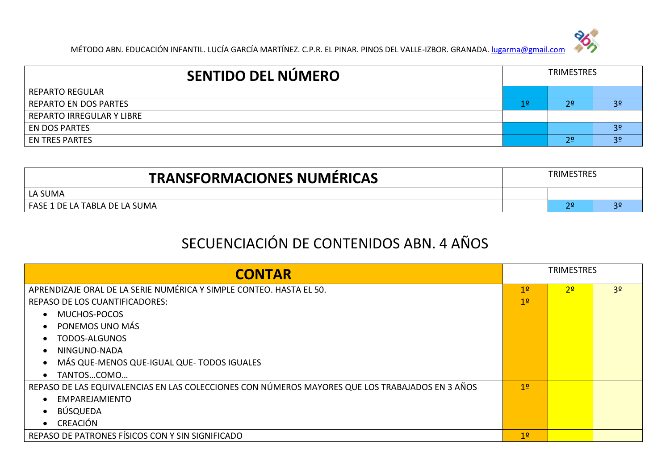

| <b>SENTIDO DEL NÚMERO</b>    | <b>TRIMESTRES</b> |                |                |
|------------------------------|-------------------|----------------|----------------|
| <b>REPARTO REGULAR</b>       |                   |                |                |
| <b>REPARTO EN DOS PARTES</b> | 1º                | $2^{\circ}$    | 3 <sup>o</sup> |
| REPARTO IRREGULAR Y LIBRE    |                   |                |                |
| <b>EN DOS PARTES</b>         |                   |                | 3 <sup>o</sup> |
| <b>EN TRES PARTES</b>        |                   | 2 <sup>o</sup> | 3 <sup>o</sup> |

| <b>TRANSFORMACIONES NUMÉRICAS</b> | TRIMESTRES |  |    |
|-----------------------------------|------------|--|----|
| LA SUMA                           |            |  |    |
| FASE 1 DE LA TABLA DE LA SUMA     |            |  | 36 |

## SECUENCIACIÓN DE CONTENIDOS ABN. 4 AÑOS

| <b>CONTAR</b>                                                                                   | <b>TRIMESTRES</b> |                |                |
|-------------------------------------------------------------------------------------------------|-------------------|----------------|----------------|
| APRENDIZAJE ORAL DE LA SERIE NUMÉRICA Y SIMPLE CONTEO. HASTA EL 50.                             | 1 <sup>°</sup>    | 2 <sup>o</sup> | 3 <sup>o</sup> |
| <b>REPASO DE LOS CUANTIFICADORES:</b>                                                           | 1 <sup>°</sup>    |                |                |
| MUCHOS-POCOS                                                                                    |                   |                |                |
| PONEMOS UNO MÁS                                                                                 |                   |                |                |
| TODOS-ALGUNOS                                                                                   |                   |                |                |
| NINGUNO-NADA                                                                                    |                   |                |                |
| MÁS QUE-MENOS QUE-IGUAL QUE- TODOS IGUALES<br>$\bullet$                                         |                   |                |                |
| TANTOSCOMO                                                                                      |                   |                |                |
| REPASO DE LAS EQUIVALENCIAS EN LAS COLECCIONES CON NÚMEROS MAYORES QUE LOS TRABAJADOS EN 3 AÑOS | 1 <sup>°</sup>    |                |                |
| EMPAREJAMIENTO                                                                                  |                   |                |                |
| BÚSQUEDA                                                                                        |                   |                |                |
| CREACIÓN<br>$\bullet$                                                                           |                   |                |                |
| REPASO DE PATRONES FÍSICOS CON Y SIN SIGNIFICADO                                                | 1 <sup>2</sup>    |                |                |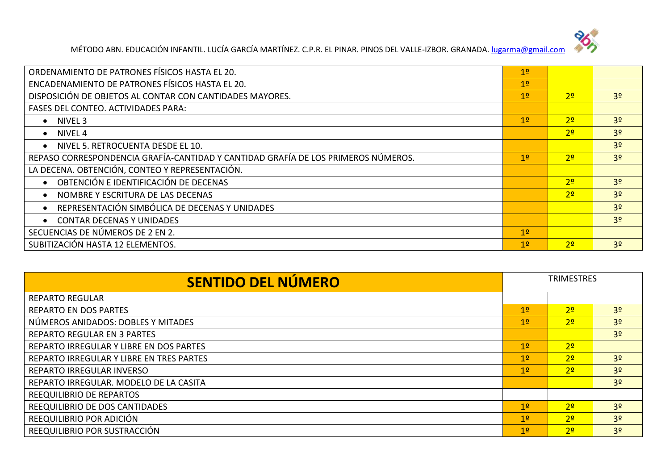

| ORDENAMIENTO DE PATRONES FÍSICOS HASTA EL 20.                                     | 1 <sup>°</sup> |                |                |
|-----------------------------------------------------------------------------------|----------------|----------------|----------------|
| ENCADENAMIENTO DE PATRONES FÍSICOS HASTA EL 20.                                   | 1 <sup>°</sup> |                |                |
| DISPOSICIÓN DE OBJETOS AL CONTAR CON CANTIDADES MAYORES.                          | 1 <sup>°</sup> | 2 <sup>0</sup> | 3 <sup>o</sup> |
| <b>FASES DEL CONTEO. ACTIVIDADES PARA:</b>                                        |                |                |                |
| • NIVEL 3                                                                         | 1 <sup>°</sup> | 2 <sup>0</sup> | 3 <sup>o</sup> |
| $\bullet$ NIVEL 4                                                                 |                | 2 <sup>0</sup> | 3 <sup>o</sup> |
| NIVEL 5. RETROCUENTA DESDE EL 10.                                                 |                |                | 3 <sup>o</sup> |
| REPASO CORRESPONDENCIA GRAFÍA-CANTIDAD Y CANTIDAD GRAFÍA DE LOS PRIMEROS NÚMEROS. | 1 <sup>o</sup> | 70             | 3 <sup>o</sup> |
| LA DECENA. OBTENCIÓN, CONTEO Y REPRESENTACIÓN.                                    |                |                |                |
| OBTENCIÓN E IDENTIFICACIÓN DE DECENAS                                             |                | 70             | 3 <sup>o</sup> |
| NOMBRE Y ESCRITURA DE LAS DECENAS                                                 |                | 2 <sup>0</sup> | 3 <sup>o</sup> |
| REPRESENTACIÓN SIMBÓLICA DE DECENAS Y UNIDADES<br>$\bullet$                       |                |                | 3 <sup>o</sup> |
| <b>CONTAR DECENAS Y UNIDADES</b>                                                  |                |                | 3 <sup>o</sup> |
| SECUENCIAS DE NÚMEROS DE 2 EN 2.                                                  | 1 <sup>o</sup> |                |                |
| SUBITIZACIÓN HASTA 12 ELEMENTOS.                                                  | 19             | 7 <sup>o</sup> | 3 <sup>o</sup> |

| <b>SENTIDO DEL NÚMERO</b>                | <b>TRIMESTRES</b> |                |                |
|------------------------------------------|-------------------|----------------|----------------|
| <b>REPARTO REGULAR</b>                   |                   |                |                |
| REPARTO EN DOS PARTES                    | 1 <sup>°</sup>    | 2 <sup>o</sup> | 3 <sup>o</sup> |
| NÚMEROS ANIDADOS: DOBLES Y MITADES       | 19                | 2 <sup>o</sup> | 3 <sup>o</sup> |
| <b>REPARTO REGULAR EN 3 PARTES</b>       |                   |                | 3 <sup>o</sup> |
| REPARTO IRREGULAR Y LIBRE EN DOS PARTES  | 1 <sup>°</sup>    | 2 <sup>o</sup> |                |
| REPARTO IRREGULAR Y LIBRE EN TRES PARTES | 1 <sup>°</sup>    | 2 <sup>o</sup> | 3 <sup>o</sup> |
| REPARTO IRREGULAR INVERSO                | 19                | 2 <sup>o</sup> | 3 <sup>o</sup> |
| REPARTO IRREGULAR. MODELO DE LA CASITA   |                   |                | 3 <sup>o</sup> |
| REEQUILIBRIO DE REPARTOS                 |                   |                |                |
| REEQUILIBRIO DE DOS CANTIDADES           | 1 <sup>°</sup>    | 2 <sup>o</sup> | 3 <sup>o</sup> |
| REEQUILIBRIO POR ADICIÓN                 | 1 <sup>°</sup>    | 2 <sup>o</sup> | 3 <sup>o</sup> |
| REEQUILIBRIO POR SUSTRACCIÓN             | 19                | 7 <sup>o</sup> | 3 <sup>o</sup> |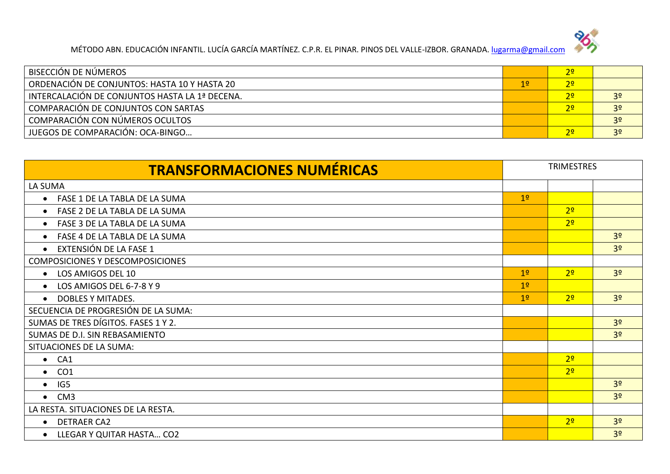

| BISECCIÓN DE NÚMEROS                           |                | 2 <sup>o</sup> |                |
|------------------------------------------------|----------------|----------------|----------------|
| ORDENACIÓN DE CONJUNTOS: HASTA 10 Y HASTA 20   | 1 <sup>°</sup> | 2 <sup>o</sup> |                |
| INTERCALACIÓN DE CONJUNTOS HASTA LA 1ª DECENA. |                | 2 <sup>o</sup> | 3 <sup>o</sup> |
| COMPARACIÓN DE CONJUNTOS CON SARTAS            |                | 2 <sup>o</sup> | 3 <sup>o</sup> |
| COMPARACIÓN CON NÚMEROS OCULTOS                |                |                | 3 <sup>o</sup> |
| JUEGOS DE COMPARACIÓN: OCA-BINGO               |                | 2 <sup>o</sup> | 3 <sup>o</sup> |

| <b>TRANSFORMACIONES NUMÉRICAS</b>          | <b>TRIMESTRES</b> |                |                |
|--------------------------------------------|-------------------|----------------|----------------|
| LA SUMA                                    |                   |                |                |
| FASE 1 DE LA TABLA DE LA SUMA<br>$\bullet$ | 1 <sup>o</sup>    |                |                |
| FASE 2 DE LA TABLA DE LA SUMA<br>$\bullet$ |                   | 2 <sup>o</sup> |                |
| FASE 3 DE LA TABLA DE LA SUMA<br>$\bullet$ |                   | 2 <sup>0</sup> |                |
| FASE 4 DE LA TABLA DE LA SUMA<br>$\bullet$ |                   |                | 3 <sup>o</sup> |
| EXTENSIÓN DE LA FASE 1                     |                   |                | 3 <sup>o</sup> |
| <b>COMPOSICIONES Y DESCOMPOSICIONES</b>    |                   |                |                |
| LOS AMIGOS DEL 10<br>$\bullet$             | 1 <sup>°</sup>    | 2 <sup>o</sup> | 3 <sup>o</sup> |
| LOS AMIGOS DEL 6-7-8 Y 9<br>$\bullet$      | 1 <sup>°</sup>    |                |                |
| <b>DOBLES Y MITADES.</b><br>$\bullet$      | 1 <sup>°</sup>    | 2 <sup>0</sup> | 3 <sup>o</sup> |
| SECUENCIA DE PROGRESIÓN DE LA SUMA:        |                   |                |                |
| SUMAS DE TRES DÍGITOS. FASES 1 Y 2.        |                   |                | 3 <sup>o</sup> |
| SUMAS DE D.I. SIN REBASAMIENTO             |                   |                | 3 <sup>o</sup> |
| SITUACIONES DE LA SUMA:                    |                   |                |                |
| $\bullet$ CA1                              |                   | 2 <sup>0</sup> |                |
| CO <sub>1</sub><br>$\bullet$               |                   | 2 <sup>o</sup> |                |
| IG5<br>$\bullet$                           |                   |                | 3 <sup>o</sup> |
| CM3<br>$\bullet$                           |                   |                | 3 <sup>o</sup> |
| LA RESTA. SITUACIONES DE LA RESTA.         |                   |                |                |
| <b>DETRAER CA2</b><br>$\bullet$            |                   | 2 <sup>0</sup> | 3 <sup>o</sup> |
| LLEGAR Y QUITAR HASTA CO2                  |                   |                | 3 <sup>o</sup> |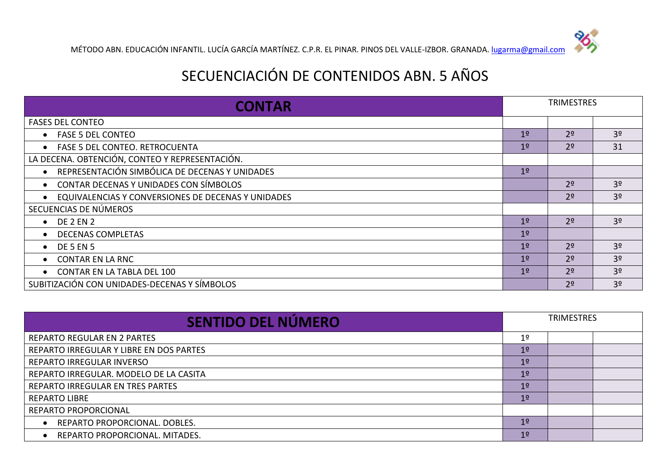## SECUENCIACIÓN DE CONTENIDOS ABN. 5 AÑOS

| <b>CONTAR</b>                                       | <b>TRIMESTRES</b> |                |                |
|-----------------------------------------------------|-------------------|----------------|----------------|
| <b>FASES DEL CONTEO</b>                             |                   |                |                |
| <b>FASE 5 DEL CONTEO</b>                            | 1 <sup>°</sup>    | 2 <sup>o</sup> | 3 <sup>o</sup> |
| <b>FASE 5 DEL CONTEO. RETROCUENTA</b>               | 1 <sup>°</sup>    | 2 <sup>o</sup> | 31             |
| LA DECENA. OBTENCIÓN, CONTEO Y REPRESENTACIÓN.      |                   |                |                |
| REPRESENTACIÓN SIMBÓLICA DE DECENAS Y UNIDADES      | 19                |                |                |
| CONTAR DECENAS Y UNIDADES CON SÍMBOLOS<br>$\bullet$ |                   | 2 <sup>o</sup> | 3 <sup>o</sup> |
| EQUIVALENCIAS Y CONVERSIONES DE DECENAS Y UNIDADES  |                   | 2 <sup>o</sup> | 3 <sup>o</sup> |
| SECUENCIAS DE NÚMEROS                               |                   |                |                |
| <b>DE 2 EN 2</b><br>$\bullet$                       | 1 <sup>°</sup>    | 2 <sup>o</sup> | 3 <sup>o</sup> |
| <b>DECENAS COMPLETAS</b><br>$\bullet$               | 1 <sup>°</sup>    |                |                |
| <b>DE 5 EN 5</b><br>$\bullet$                       | 1 <sup>°</sup>    | 2 <sup>o</sup> | 3 <sup>o</sup> |
| <b>CONTAR EN LA RNC</b><br>$\bullet$                | 1 <sup>°</sup>    | 2 <sup>o</sup> | 3 <sup>o</sup> |
| <b>CONTAR EN LA TABLA DEL 100</b>                   | 1 <sup>o</sup>    | 2 <sup>o</sup> | 3 <sup>o</sup> |
| SUBITIZACIÓN CON UNIDADES-DECENAS Y SÍMBOLOS        |                   | 2 <sup>o</sup> | 3 <sup>o</sup> |

| <b>SENTIDO DEL NÚMERO</b>                   | <b>TRIMESTRES</b> |  |  |
|---------------------------------------------|-------------------|--|--|
| <b>REPARTO REGULAR EN 2 PARTES</b>          | 1º                |  |  |
| REPARTO IRREGULAR Y LIBRE EN DOS PARTES     | 1 <sup>o</sup>    |  |  |
| REPARTO IRREGULAR INVERSO                   | 1 <sup>°</sup>    |  |  |
| REPARTO IRREGULAR. MODELO DE LA CASITA      | 1 <sup>o</sup>    |  |  |
| REPARTO IRREGULAR EN TRES PARTES            | 1 <sup>o</sup>    |  |  |
| <b>REPARTO LIBRE</b>                        | 1 <sup>o</sup>    |  |  |
| <b>REPARTO PROPORCIONAL</b>                 |                   |  |  |
| REPARTO PROPORCIONAL. DOBLES.<br>$\bullet$  | 1 <sup>°</sup>    |  |  |
| REPARTO PROPORCIONAL. MITADES.<br>$\bullet$ | 1 <sup>o</sup>    |  |  |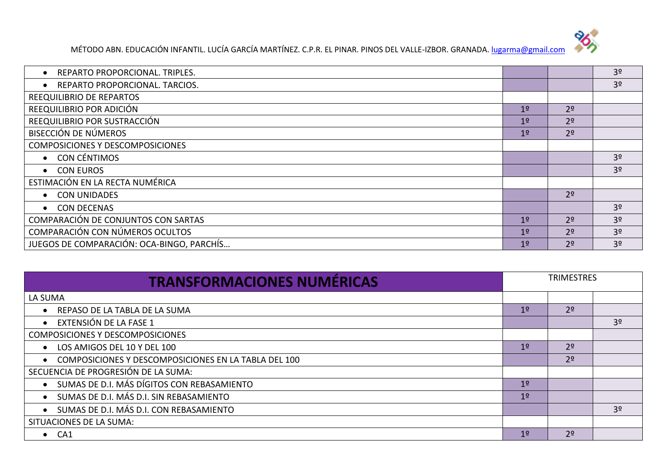

| REPARTO PROPORCIONAL. TRIPLES.            |                |                | 3 <sup>o</sup> |
|-------------------------------------------|----------------|----------------|----------------|
| REPARTO PROPORCIONAL. TARCIOS.            |                |                | 3 <sup>o</sup> |
| REEQUILIBRIO DE REPARTOS                  |                |                |                |
| REEQUILIBRIO POR ADICIÓN                  | 1 <sup>°</sup> | 2 <sup>o</sup> |                |
| REEQUILIBRIO POR SUSTRACCIÓN              | 1 <sup>°</sup> | 2 <sup>o</sup> |                |
| BISECCIÓN DE NÚMEROS                      | 1 <sup>°</sup> | 2 <sup>o</sup> |                |
| <b>COMPOSICIONES Y DESCOMPOSICIONES</b>   |                |                |                |
| CON CÉNTIMOS<br>$\bullet$                 |                |                | 3 <sup>o</sup> |
| <b>CON EUROS</b><br>$\bullet$             |                |                | 3 <sup>o</sup> |
| ESTIMACIÓN EN LA RECTA NUMÉRICA           |                |                |                |
| <b>CON UNIDADES</b>                       |                | 2 <sup>o</sup> |                |
| <b>CON DECENAS</b><br>$\bullet$           |                |                | 3 <sup>o</sup> |
| COMPARACIÓN DE CONJUNTOS CON SARTAS       | 1 <sup>°</sup> | 2 <sup>o</sup> | 3 <sup>o</sup> |
| COMPARACIÓN CON NÚMEROS OCULTOS           | 1 <sup>°</sup> | 2 <sup>o</sup> | 3 <sup>o</sup> |
| JUEGOS DE COMPARACIÓN: OCA-BINGO, PARCHÍS | 1 <sup>0</sup> | 2 <sup>o</sup> | 3 <sup>o</sup> |

| <b>TRANSFORMACIONES NUMÉRICAS</b>                                 | <b>TRIMESTRES</b> |                |                |
|-------------------------------------------------------------------|-------------------|----------------|----------------|
| LA SUMA                                                           |                   |                |                |
| REPASO DE LA TABLA DE LA SUMA                                     | 1 <sup>o</sup>    | 2 <sup>o</sup> |                |
| EXTENSIÓN DE LA FASE 1<br>$\bullet$                               |                   |                | 3 <sup>o</sup> |
| <b>COMPOSICIONES Y DESCOMPOSICIONES</b>                           |                   |                |                |
| LOS AMIGOS DEL 10 Y DEL 100<br>$\bullet$                          | 1 <sup>o</sup>    | 2 <sup>o</sup> |                |
| COMPOSICIONES Y DESCOMPOSICIONES EN LA TABLA DEL 100<br>$\bullet$ |                   | 2 <sup>o</sup> |                |
| SECUENCIA DE PROGRESIÓN DE LA SUMA:                               |                   |                |                |
| SUMAS DE D.I. MÁS DÍGITOS CON REBASAMIENTO<br>$\bullet$           | 1 <sup>o</sup>    |                |                |
| SUMAS DE D.I. MÁS D.I. SIN REBASAMIENTO<br>$\bullet$              | 1 <sup>o</sup>    |                |                |
| SUMAS DE D.I. MÁS D.I. CON REBASAMIENTO<br>$\bullet$              |                   |                | 3 <sup>o</sup> |
| SITUACIONES DE LA SUMA:                                           |                   |                |                |
| $\bullet$ CA1                                                     | 1 <sup>o</sup>    | 2 <sup>o</sup> |                |